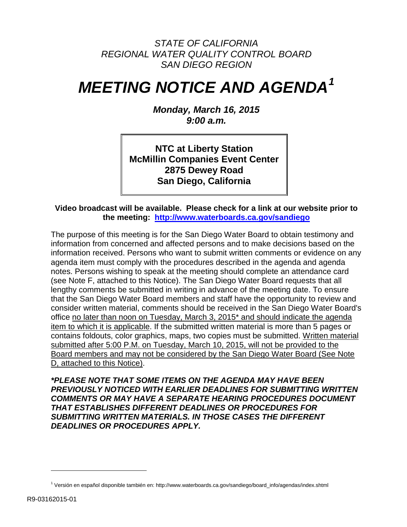## *STATE OF CALIFORNIA REGIONAL WATER QUALITY CONTROL BOARD SAN DIEGO REGION*

# *MEETING NOTICE AND AGENDA[1](#page-0-0)*

*Monday, March 16, 2015 9:00 a.m.*

**NTC at Liberty Station McMillin Companies Event Center 2875 Dewey Road San Diego, California**

#### **Video broadcast will be available. Please check for a link at our website prior to the meeting: <http://www.waterboards.ca.gov/sandiego>**

The purpose of this meeting is for the San Diego Water Board to obtain testimony and information from concerned and affected persons and to make decisions based on the information received. Persons who want to submit written comments or evidence on any agenda item must comply with the procedures described in the agenda and agenda notes. Persons wishing to speak at the meeting should complete an attendance card (see Note F, attached to this Notice). The San Diego Water Board requests that all lengthy comments be submitted in writing in advance of the meeting date. To ensure that the San Diego Water Board members and staff have the opportunity to review and consider written material, comments should be received in the San Diego Water Board's office no later than noon on Tuesday, March 3, 2015\* and should indicate the agenda item to which it is applicable. If the submitted written material is more than 5 pages or contains foldouts, color graphics, maps, two copies must be submitted. Written material submitted after 5:00 P.M. on Tuesday, March 10, 2015, will not be provided to the Board members and may not be considered by the San Diego Water Board (See Note D, attached to this Notice).

*\*PLEASE NOTE THAT SOME ITEMS ON THE AGENDA MAY HAVE BEEN PREVIOUSLY NOTICED WITH EARLIER DEADLINES FOR SUBMITTING WRITTEN COMMENTS OR MAY HAVE A SEPARATE HEARING PROCEDURES DOCUMENT THAT ESTABLISHES DIFFERENT DEADLINES OR PROCEDURES FOR SUBMITTING WRITTEN MATERIALS. IN THOSE CASES THE DIFFERENT DEADLINES OR PROCEDURES APPLY.*

Ξ

<span id="page-0-0"></span><sup>1</sup> Versión en español disponible también en: http://www.waterboards.ca.gov/sandiego/board\_info/agendas/index.shtml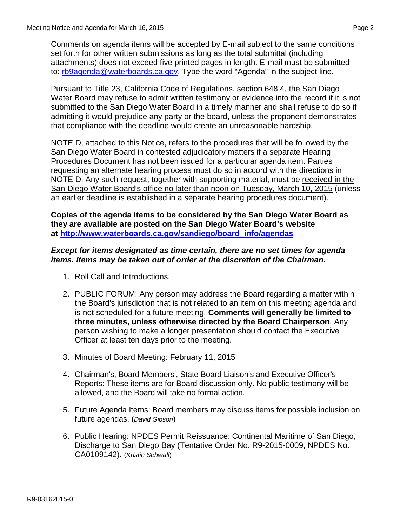Comments on agenda items will be accepted by E-mail subject to the same conditions set forth for other written submissions as long as the total submittal (including attachments) does not exceed five printed pages in length. E-mail must be submitted to: [rb9agenda@waterboards.ca.gov.](mailto:rb9agenda@waterboards.ca.gov) Type the word "Agenda" in the subject line.

Pursuant to Title 23, California Code of Regulations, section 648.4, the San Diego Water Board may refuse to admit written testimony or evidence into the record if it is not submitted to the San Diego Water Board in a timely manner and shall refuse to do so if admitting it would prejudice any party or the board, unless the proponent demonstrates that compliance with the deadline would create an unreasonable hardship.

NOTE D, attached to this Notice, refers to the procedures that will be followed by the San Diego Water Board in contested adjudicatory matters if a separate Hearing Procedures Document has not been issued for a particular agenda item. Parties requesting an alternate hearing process must do so in accord with the directions in NOTE D. Any such request, together with supporting material, must be received in the San Diego Water Board's office no later than noon on Tuesday, March 10, 2015 (unless an earlier deadline is established in a separate hearing procedures document).

**Copies of the agenda items to be considered by the San Diego Water Board as they are available are posted on the San Diego Water Board's website at [http://www.waterboards.ca.gov/sandiego/board\\_info/agendas](http://www.waterboards.ca.gov/sandiego/board_info/agendas)**

#### *Except for items designated as time certain, there are no set times for agenda items. Items may be taken out of order at the discretion of the Chairman.*

- 1. Roll Call and Introductions.
- 2. PUBLIC FORUM: Any person may address the Board regarding a matter within the Board's jurisdiction that is not related to an item on this meeting agenda and is not scheduled for a future meeting. **Comments will generally be limited to three minutes, unless otherwise directed by the Board Chairperson**. Any person wishing to make a longer presentation should contact the Executive Officer at least ten days prior to the meeting.
- 3. Minutes of Board Meeting: February 11, 2015
- 4. Chairman's, Board Members', State Board Liaison's and Executive Officer's Reports: These items are for Board discussion only. No public testimony will be allowed, and the Board will take no formal action.
- 5. Future Agenda Items: Board members may discuss items for possible inclusion on future agendas. (*David Gibson*)
- 6. Public Hearing: NPDES Permit Reissuance: Continental Maritime of San Diego, Discharge to San Diego Bay (Tentative Order No. R9-2015-0009, NPDES No. CA0109142). (*Kristin Schwall*)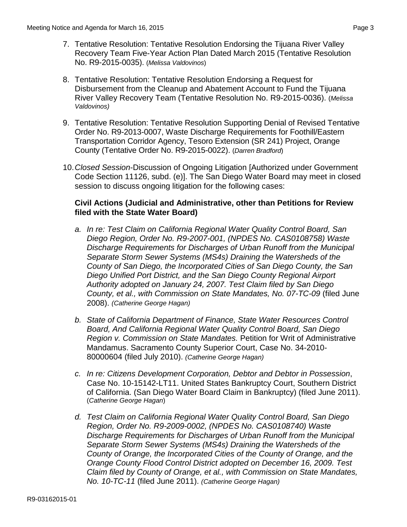- 7. Tentative Resolution: Tentative Resolution Endorsing the Tijuana River Valley Recovery Team Five-Year Action Plan Dated March 2015 (Tentative Resolution No. R9-2015-0035). (*Melissa Valdovinos*)
- 8. Tentative Resolution: Tentative Resolution Endorsing a Request for Disbursement from the Cleanup and Abatement Account to Fund the Tijuana River Valley Recovery Team (Tentative Resolution No. R9-2015-0036). (*Melissa Valdovinos)*
- 9. Tentative Resolution: Tentative Resolution Supporting Denial of Revised Tentative Order No. R9-2013-0007, Waste Discharge Requirements for Foothill/Eastern Transportation Corridor Agency, Tesoro Extension (SR 241) Project, Orange County (Tentative Order No. R9-2015-0022). (*Darren Bradford*)
- 10.*Closed Session*-Discussion of Ongoing Litigation [Authorized under Government Code Section 11126, subd. (e)]. The San Diego Water Board may meet in closed session to discuss ongoing litigation for the following cases:

### **Civil Actions (Judicial and Administrative, other than Petitions for Review filed with the State Water Board)**

- *a. In re: Test Claim on California Regional Water Quality Control Board, San Diego Region, Order No. R9-2007-001, (NPDES No. CAS0108758) Waste Discharge Requirements for Discharges of Urban Runoff from the Municipal Separate Storm Sewer Systems (MS4s) Draining the Watersheds of the County of San Diego, the Incorporated Cities of San Diego County, the San Diego Unified Port District, and the San Diego County Regional Airport Authority adopted on January 24, 2007. Test Claim filed by San Diego County, et al., with Commission on State Mandates, No. 07-TC-09* (filed June 2008). *(Catherine George Hagan)*
- *b. State of California Department of Finance, State Water Resources Control Board, And California Regional Water Quality Control Board, San Diego Region v. Commission on State Mandates.* Petition for Writ of Administrative Mandamus. Sacramento County Superior Court, Case No. 34-2010- 80000604 (filed July 2010). *(Catherine George Hagan)*
- *c. In re: Citizens Development Corporation, Debtor and Debtor in Possession*, Case No. 10-15142-LT11. United States Bankruptcy Court, Southern District of California. (San Diego Water Board Claim in Bankruptcy) (filed June 2011). (*Catherine George Hagan*)
- *d. Test Claim on California Regional Water Quality Control Board, San Diego Region, Order No. R9-2009-0002, (NPDES No. CAS0108740) Waste Discharge Requirements for Discharges of Urban Runoff from the Municipal Separate Storm Sewer Systems (MS4s) Draining the Watersheds of the County of Orange, the Incorporated Cities of the County of Orange, and the Orange County Flood Control District adopted on December 16, 2009. Test Claim filed by County of Orange, et al., with Commission on State Mandates, No. 10-TC-11* (filed June 2011). *(Catherine George Hagan)*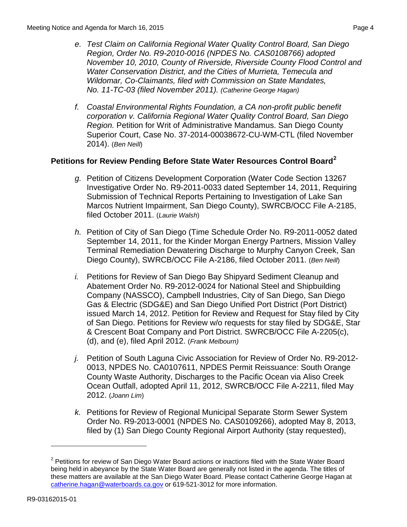- *e. Test Claim on California Regional Water Quality Control Board, San Diego Region, Order No. R9-2010-0016 (NPDES No. CAS0108766) adopted November 10, 2010, County of Riverside, Riverside County Flood Control and Water Conservation District, and the Cities of Murrieta, Temecula and Wildomar, Co-Claimants, filed with Commission on State Mandates, No. 11-TC-03 (filed November 2011). (Catherine George Hagan)*
- *f. Coastal Environmental Rights Foundation, a CA non-profit public benefit corporation v. California Regional Water Quality Control Board, San Diego Region.* Petition for Writ of Administrative Mandamus. San Diego County Superior Court, Case No. 37-2014-00038672-CU-WM-CTL (filed November 2014). (*Ben Neill*)

## **Petitions for Review Pending Before State Water Resources Control Board[2](#page-3-0)**

- *g.* Petition of Citizens Development Corporation (Water Code Section 13267 Investigative Order No. R9-2011-0033 dated September 14, 2011, Requiring Submission of Technical Reports Pertaining to Investigation of Lake San Marcos Nutrient Impairment, San Diego County), SWRCB/OCC File A-2185, filed October 2011. (*Laurie Walsh*)
- *h.* Petition of City of San Diego (Time Schedule Order No. R9-2011-0052 dated September 14, 2011, for the Kinder Morgan Energy Partners, Mission Valley Terminal Remediation Dewatering Discharge to Murphy Canyon Creek, San Diego County), SWRCB/OCC File A-2186, filed October 2011. (*Ben Neill*)
- *i.* Petitions for Review of San Diego Bay Shipyard Sediment Cleanup and Abatement Order No. R9-2012-0024 for National Steel and Shipbuilding Company (NASSCO), Campbell Industries, City of San Diego, San Diego Gas & Electric (SDG&E) and San Diego Unified Port District (Port District) issued March 14, 2012. Petition for Review and Request for Stay filed by City of San Diego. Petitions for Review w/o requests for stay filed by SDG&E, Star & Crescent Boat Company and Port District. SWRCB/OCC File A-2205(c), (d), and (e), filed April 2012. (*Frank Melbourn)*
- *j.* Petition of South Laguna Civic Association for Review of Order No. R9-2012- 0013, NPDES No. CA0107611, NPDES Permit Reissuance: South Orange County Waste Authority, Discharges to the Pacific Ocean via Aliso Creek Ocean Outfall, adopted April 11, 2012, SWRCB/OCC File A-2211, filed May 2012. (*Joann Lim*)
- *k.* Petitions for Review of Regional Municipal Separate Storm Sewer System Order No. R9-2013-0001 (NPDES No. CAS0109266), adopted May 8, 2013, filed by (1) San Diego County Regional Airport Authority (stay requested),

Ξ

<span id="page-3-0"></span> $2$  Petitions for review of San Diego Water Board actions or inactions filed with the State Water Board being held in abeyance by the State Water Board are generally not listed in the agenda. The titles of these matters are available at the San Diego Water Board. Please contact Catherine George Hagan at [catherine.hagan@waterboards.ca.gov](mailto:catherine.hagan@waterboards.ca.gov) or 619-521-3012 for more information.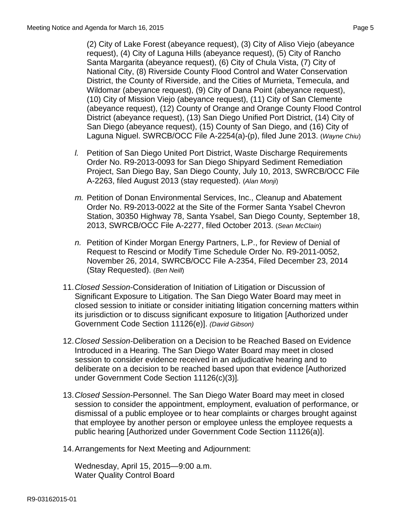(2) City of Lake Forest (abeyance request), (3) City of Aliso Viejo (abeyance request), (4) City of Laguna Hills (abeyance request), (5) City of Rancho Santa Margarita (abeyance request), (6) City of Chula Vista, (7) City of National City, (8) Riverside County Flood Control and Water Conservation District, the County of Riverside, and the Cities of Murrieta, Temecula, and Wildomar (abeyance request), (9) City of Dana Point (abeyance request), (10) City of Mission Viejo (abeyance request), (11) City of San Clemente (abeyance request), (12) County of Orange and Orange County Flood Control District (abeyance request), (13) San Diego Unified Port District, (14) City of San Diego (abeyance request), (15) County of San Diego, and (16) City of Laguna Niguel. SWRCB/OCC File A-2254(a)-(p), filed June 2013. (*Wayne Chiu*)

- *l.* Petition of San Diego United Port District, Waste Discharge Requirements Order No. R9-2013-0093 for San Diego Shipyard Sediment Remediation Project, San Diego Bay, San Diego County, July 10, 2013, SWRCB/OCC File A-2263, filed August 2013 (stay requested). (*Alan Monji*)
- *m.* Petition of Donan Environmental Services, Inc., Cleanup and Abatement Order No. R9-2013-0022 at the Site of the Former Santa Ysabel Chevron Station, 30350 Highway 78, Santa Ysabel, San Diego County, September 18, 2013, SWRCB/OCC File A-2277, filed October 2013. (*Sean McClain*)
- *n.* Petition of Kinder Morgan Energy Partners, L.P., for Review of Denial of Request to Rescind or Modify Time Schedule Order No. R9-2011-0052, November 26, 2014, SWRCB/OCC File A-2354, Filed December 23, 2014 (Stay Requested). (*Ben Neill*)
- 11.*Closed Session*-Consideration of Initiation of Litigation or Discussion of Significant Exposure to Litigation. The San Diego Water Board may meet in closed session to initiate or consider initiating litigation concerning matters within its jurisdiction or to discuss significant exposure to litigation [Authorized under Government Code Section 11126(e)]. *(David Gibson)*
- 12.*Closed Session-*Deliberation on a Decision to be Reached Based on Evidence Introduced in a Hearing. The San Diego Water Board may meet in closed session to consider evidence received in an adjudicative hearing and to deliberate on a decision to be reached based upon that evidence [Authorized under Government Code Section 11126(c)(3)]*.*
- 13.*Closed Session*-Personnel. The San Diego Water Board may meet in closed session to consider the appointment, employment, evaluation of performance, or dismissal of a public employee or to hear complaints or charges brought against that employee by another person or employee unless the employee requests a public hearing [Authorized under Government Code Section 11126(a)].
- 14.Arrangements for Next Meeting and Adjournment:

Wednesday, April 15, 2015—9:00 a.m. Water Quality Control Board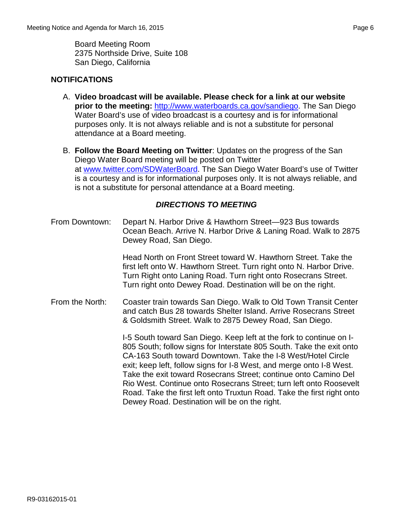Board Meeting Room 2375 Northside Drive, Suite 108 San Diego, California

## **NOTIFICATIONS**

- A. **Video broadcast will be available. Please check for a link at our website prior to the meeting:** [http://www.waterboards.ca.gov/sandiego.](http://www.waterboards.ca.gov/sandiego) The San Diego Water Board's use of video broadcast is a courtesy and is for informational purposes only. It is not always reliable and is not a substitute for personal attendance at a Board meeting.
- B. **Follow the Board Meeting on Twitter**: Updates on the progress of the San Diego Water Board meeting will be posted on Twitter at [www.twitter.com/SDWaterBoard.](http://www.twitter.com/SDWaterBoard) The San Diego Water Board's use of Twitter is a courtesy and is for informational purposes only. It is not always reliable, and is not a substitute for personal attendance at a Board meeting.

### *DIRECTIONS TO MEETING*

From Downtown: Depart N. Harbor Drive & Hawthorn Street—923 Bus towards Ocean Beach. Arrive N. Harbor Drive & Laning Road. Walk to 2875 Dewey Road, San Diego.

> Head North on Front Street toward W. Hawthorn Street. Take the first left onto W. Hawthorn Street. Turn right onto N. Harbor Drive. Turn Right onto Laning Road. Turn right onto Rosecrans Street. Turn right onto Dewey Road. Destination will be on the right.

From the North: Coaster train towards San Diego. Walk to Old Town Transit Center and catch Bus 28 towards Shelter Island. Arrive Rosecrans Street & Goldsmith Street. Walk to 2875 Dewey Road, San Diego.

> I-5 South toward San Diego. Keep left at the fork to continue on I-805 South; follow signs for Interstate 805 South. Take the exit onto CA-163 South toward Downtown. Take the I-8 West/Hotel Circle exit; keep left, follow signs for I-8 West, and merge onto I-8 West. Take the exit toward Rosecrans Street; continue onto Camino Del Rio West. Continue onto Rosecrans Street; turn left onto Roosevelt Road. Take the first left onto Truxtun Road. Take the first right onto Dewey Road. Destination will be on the right.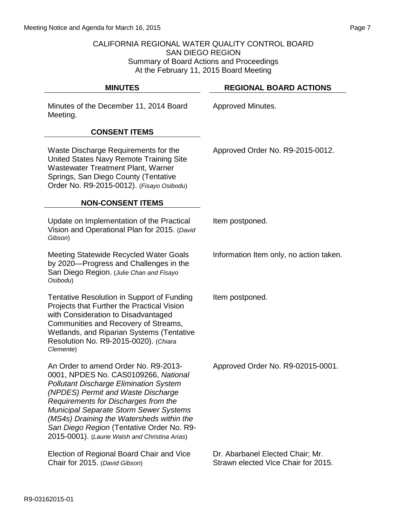#### CALIFORNIA REGIONAL WATER QUALITY CONTROL BOARD SAN DIEGO REGION Summary of Board Actions and Proceedings At the February 11, 2015 Board Meeting

| <b>MINUTES</b>                                                                                                                                                                                                                                                                                                                                                                                           | <b>REGIONAL BOARD ACTIONS</b>                                           |
|----------------------------------------------------------------------------------------------------------------------------------------------------------------------------------------------------------------------------------------------------------------------------------------------------------------------------------------------------------------------------------------------------------|-------------------------------------------------------------------------|
| Minutes of the December 11, 2014 Board<br>Meeting.                                                                                                                                                                                                                                                                                                                                                       | Approved Minutes.                                                       |
| <b>CONSENT ITEMS</b>                                                                                                                                                                                                                                                                                                                                                                                     |                                                                         |
| Waste Discharge Requirements for the<br>United States Navy Remote Training Site<br><b>Wastewater Treatment Plant, Warner</b><br>Springs, San Diego County (Tentative<br>Order No. R9-2015-0012). (Fisayo Osibodu)                                                                                                                                                                                        | Approved Order No. R9-2015-0012.                                        |
| <b>NON-CONSENT ITEMS</b>                                                                                                                                                                                                                                                                                                                                                                                 |                                                                         |
| Update on Implementation of the Practical<br>Vision and Operational Plan for 2015. (David<br>Gibson)                                                                                                                                                                                                                                                                                                     | Item postponed.                                                         |
| <b>Meeting Statewide Recycled Water Goals</b><br>by 2020—Progress and Challenges in the<br>San Diego Region. (Julie Chan and Fisayo<br>Osibodu)                                                                                                                                                                                                                                                          | Information Item only, no action taken.                                 |
| <b>Tentative Resolution in Support of Funding</b><br>Projects that Further the Practical Vision<br>with Consideration to Disadvantaged<br>Communities and Recovery of Streams,<br><b>Wetlands, and Riparian Systems (Tentative</b><br>Resolution No. R9-2015-0020). (Chiara<br>Clemente)                                                                                                                 | Item postponed.                                                         |
| An Order to amend Order No. R9-2013-<br>0001, NPDES No. CAS0109266, National<br><b>Pollutant Discharge Elimination System</b><br>(NPDES) Permit and Waste Discharge<br>Requirements for Discharges from the<br><b>Municipal Separate Storm Sewer Systems</b><br>(MS4s) Draining the Watersheds within the<br>San Diego Region (Tentative Order No. R9-<br>2015-0001). (Laurie Walsh and Christina Arias) | Approved Order No. R9-02015-0001.                                       |
| Election of Regional Board Chair and Vice<br>Chair for 2015. (David Gibson)                                                                                                                                                                                                                                                                                                                              | Dr. Abarbanel Elected Chair; Mr.<br>Strawn elected Vice Chair for 2015. |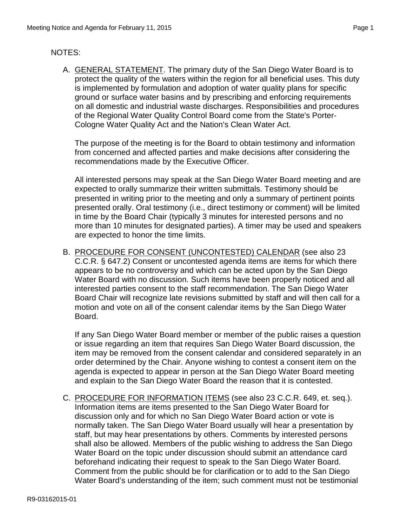### NOTES:

A. GENERAL STATEMENT. The primary duty of the San Diego Water Board is to protect the quality of the waters within the region for all beneficial uses. This duty is implemented by formulation and adoption of water quality plans for specific ground or surface water basins and by prescribing and enforcing requirements on all domestic and industrial waste discharges. Responsibilities and procedures of the Regional Water Quality Control Board come from the State's Porter-Cologne Water Quality Act and the Nation's Clean Water Act.

The purpose of the meeting is for the Board to obtain testimony and information from concerned and affected parties and make decisions after considering the recommendations made by the Executive Officer.

All interested persons may speak at the San Diego Water Board meeting and are expected to orally summarize their written submittals. Testimony should be presented in writing prior to the meeting and only a summary of pertinent points presented orally. Oral testimony (i.e., direct testimony or comment) will be limited in time by the Board Chair (typically 3 minutes for interested persons and no more than 10 minutes for designated parties). A timer may be used and speakers are expected to honor the time limits.

B. PROCEDURE FOR CONSENT (UNCONTESTED) CALENDAR (see also 23 C.C.R. § 647.2) Consent or uncontested agenda items are items for which there appears to be no controversy and which can be acted upon by the San Diego Water Board with no discussion. Such items have been properly noticed and all interested parties consent to the staff recommendation. The San Diego Water Board Chair will recognize late revisions submitted by staff and will then call for a motion and vote on all of the consent calendar items by the San Diego Water Board.

If any San Diego Water Board member or member of the public raises a question or issue regarding an item that requires San Diego Water Board discussion, the item may be removed from the consent calendar and considered separately in an order determined by the Chair. Anyone wishing to contest a consent item on the agenda is expected to appear in person at the San Diego Water Board meeting and explain to the San Diego Water Board the reason that it is contested.

C. PROCEDURE FOR INFORMATION ITEMS (see also 23 C.C.R. 649, et. seq.). Information items are items presented to the San Diego Water Board for discussion only and for which no San Diego Water Board action or vote is normally taken. The San Diego Water Board usually will hear a presentation by staff, but may hear presentations by others. Comments by interested persons shall also be allowed. Members of the public wishing to address the San Diego Water Board on the topic under discussion should submit an attendance card beforehand indicating their request to speak to the San Diego Water Board. Comment from the public should be for clarification or to add to the San Diego Water Board's understanding of the item; such comment must not be testimonial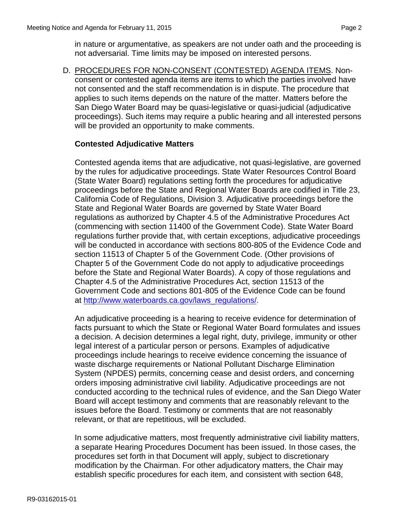in nature or argumentative, as speakers are not under oath and the proceeding is not adversarial. Time limits may be imposed on interested persons.

D. PROCEDURES FOR NON-CONSENT (CONTESTED) AGENDA ITEMS. Nonconsent or contested agenda items are items to which the parties involved have not consented and the staff recommendation is in dispute. The procedure that applies to such items depends on the nature of the matter. Matters before the San Diego Water Board may be quasi-legislative or quasi-judicial (adjudicative proceedings). Such items may require a public hearing and all interested persons will be provided an opportunity to make comments.

#### **Contested Adjudicative Matters**

Contested agenda items that are adjudicative, not quasi-legislative, are governed by the rules for adjudicative proceedings. State Water Resources Control Board (State Water Board) regulations setting forth the procedures for adjudicative proceedings before the State and Regional Water Boards are codified in Title 23, California Code of Regulations, Division 3. Adjudicative proceedings before the State and Regional Water Boards are governed by State Water Board regulations as authorized by Chapter 4.5 of the Administrative Procedures Act (commencing with section 11400 of the Government Code). State Water Board regulations further provide that, with certain exceptions, adjudicative proceedings will be conducted in accordance with sections 800-805 of the Evidence Code and section 11513 of Chapter 5 of the Government Code. (Other provisions of Chapter 5 of the Government Code do not apply to adjudicative proceedings before the State and Regional Water Boards). A copy of those regulations and Chapter 4.5 of the Administrative Procedures Act, section 11513 of the Government Code and sections 801-805 of the Evidence Code can be found at [http://www.waterboards.ca.gov/laws\\_regulations/.](http://www.waterboards.ca.gov/laws_regulations/)

An adjudicative proceeding is a hearing to receive evidence for determination of facts pursuant to which the State or Regional Water Board formulates and issues a decision. A decision determines a legal right, duty, privilege, immunity or other legal interest of a particular person or persons. Examples of adjudicative proceedings include hearings to receive evidence concerning the issuance of waste discharge requirements or National Pollutant Discharge Elimination System (NPDES) permits, concerning cease and desist orders, and concerning orders imposing administrative civil liability. Adjudicative proceedings are not conducted according to the technical rules of evidence, and the San Diego Water Board will accept testimony and comments that are reasonably relevant to the issues before the Board. Testimony or comments that are not reasonably relevant, or that are repetitious, will be excluded.

In some adjudicative matters, most frequently administrative civil liability matters, a separate Hearing Procedures Document has been issued. In those cases, the procedures set forth in that Document will apply, subject to discretionary modification by the Chairman. For other adjudicatory matters, the Chair may establish specific procedures for each item, and consistent with section 648,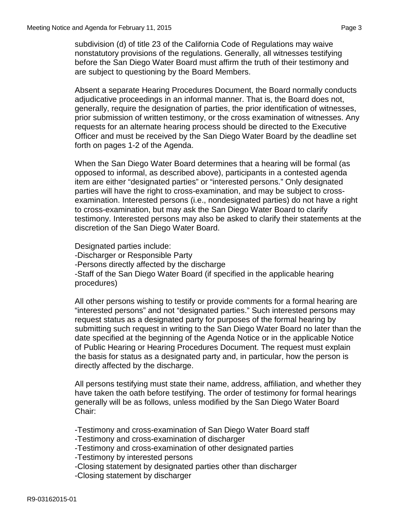subdivision (d) of title 23 of the California Code of Regulations may waive nonstatutory provisions of the regulations. Generally, all witnesses testifying before the San Diego Water Board must affirm the truth of their testimony and are subject to questioning by the Board Members.

Absent a separate Hearing Procedures Document, the Board normally conducts adjudicative proceedings in an informal manner. That is, the Board does not, generally, require the designation of parties, the prior identification of witnesses, prior submission of written testimony, or the cross examination of witnesses. Any requests for an alternate hearing process should be directed to the Executive Officer and must be received by the San Diego Water Board by the deadline set forth on pages 1-2 of the Agenda.

When the San Diego Water Board determines that a hearing will be formal (as opposed to informal, as described above), participants in a contested agenda item are either "designated parties" or "interested persons." Only designated parties will have the right to cross-examination, and may be subject to crossexamination. Interested persons (i.e., nondesignated parties) do not have a right to cross-examination, but may ask the San Diego Water Board to clarify testimony. Interested persons may also be asked to clarify their statements at the discretion of the San Diego Water Board.

Designated parties include:

-Discharger or Responsible Party

-Persons directly affected by the discharge

-Staff of the San Diego Water Board (if specified in the applicable hearing procedures)

All other persons wishing to testify or provide comments for a formal hearing are "interested persons" and not "designated parties." Such interested persons may request status as a designated party for purposes of the formal hearing by submitting such request in writing to the San Diego Water Board no later than the date specified at the beginning of the Agenda Notice or in the applicable Notice of Public Hearing or Hearing Procedures Document. The request must explain the basis for status as a designated party and, in particular, how the person is directly affected by the discharge.

All persons testifying must state their name, address, affiliation, and whether they have taken the oath before testifying. The order of testimony for formal hearings generally will be as follows, unless modified by the San Diego Water Board Chair:

-Testimony and cross-examination of San Diego Water Board staff

-Testimony and cross-examination of discharger

-Testimony and cross-examination of other designated parties

-Testimony by interested persons

-Closing statement by designated parties other than discharger

-Closing statement by discharger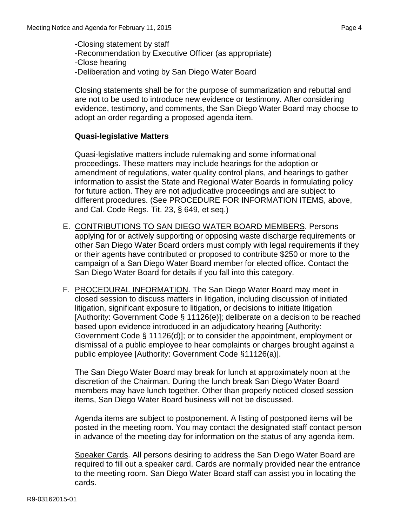-Closing statement by staff -Recommendation by Executive Officer (as appropriate) -Close hearing -Deliberation and voting by San Diego Water Board

Closing statements shall be for the purpose of summarization and rebuttal and are not to be used to introduce new evidence or testimony. After considering evidence, testimony, and comments, the San Diego Water Board may choose to adopt an order regarding a proposed agenda item.

## **Quasi-legislative Matters**

Quasi-legislative matters include rulemaking and some informational proceedings. These matters may include hearings for the adoption or amendment of regulations, water quality control plans, and hearings to gather information to assist the State and Regional Water Boards in formulating policy for future action. They are not adjudicative proceedings and are subject to different procedures. (See PROCEDURE FOR INFORMATION ITEMS, above, and Cal. Code Regs. Tit. 23, § 649, et seq.)

- E. CONTRIBUTIONS TO SAN DIEGO WATER BOARD MEMBERS. Persons applying for or actively supporting or opposing waste discharge requirements or other San Diego Water Board orders must comply with legal requirements if they or their agents have contributed or proposed to contribute \$250 or more to the campaign of a San Diego Water Board member for elected office. Contact the San Diego Water Board for details if you fall into this category.
- F. PROCEDURAL INFORMATION. The San Diego Water Board may meet in closed session to discuss matters in litigation, including discussion of initiated litigation, significant exposure to litigation, or decisions to initiate litigation [Authority: Government Code § 11126(e)]; deliberate on a decision to be reached based upon evidence introduced in an adjudicatory hearing [Authority: Government Code § 11126(d)]; or to consider the appointment, employment or dismissal of a public employee to hear complaints or charges brought against a public employee [Authority: Government Code §11126(a)].

The San Diego Water Board may break for lunch at approximately noon at the discretion of the Chairman. During the lunch break San Diego Water Board members may have lunch together. Other than properly noticed closed session items, San Diego Water Board business will not be discussed.

Agenda items are subject to postponement. A listing of postponed items will be posted in the meeting room. You may contact the designated staff contact person in advance of the meeting day for information on the status of any agenda item.

Speaker Cards. All persons desiring to address the San Diego Water Board are required to fill out a speaker card. Cards are normally provided near the entrance to the meeting room. San Diego Water Board staff can assist you in locating the cards.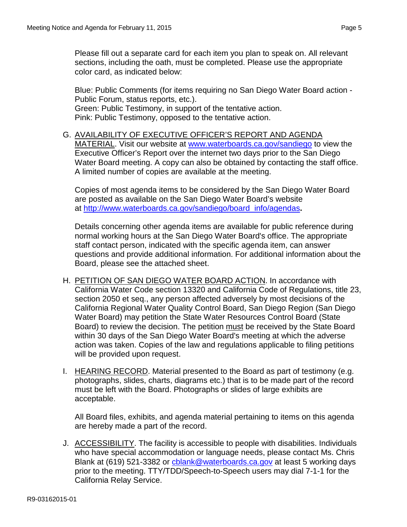Please fill out a separate card for each item you plan to speak on. All relevant sections, including the oath, must be completed. Please use the appropriate color card, as indicated below:

Blue: Public Comments (for items requiring no San Diego Water Board action - Public Forum, status reports, etc.). Green: Public Testimony, in support of the tentative action. Pink: Public Testimony, opposed to the tentative action.

G. AVAILABILITY OF EXECUTIVE OFFICER'S REPORT AND AGENDA MATERIAL. Visit our website at [www.waterboards.ca.gov/sandiego](http://www.waterboards.ca.gov/sandiego) to view the Executive Officer's Report over the internet two days prior to the San Diego Water Board meeting. A copy can also be obtained by contacting the staff office. A limited number of copies are available at the meeting.

Copies of most agenda items to be considered by the San Diego Water Board are posted as available on the San Diego Water Board's website at [http://www.waterboards.ca.gov/sandiego/board\\_info/agendas](http://www.waterboards.ca.gov/sandiego/board_info/agendas)**.**

Details concerning other agenda items are available for public reference during normal working hours at the San Diego Water Board's office. The appropriate staff contact person, indicated with the specific agenda item, can answer questions and provide additional information. For additional information about the Board, please see the attached sheet.

- H. PETITION OF SAN DIEGO WATER BOARD ACTION. In accordance with California Water Code section 13320 and California Code of Regulations, title 23, section 2050 et seq., any person affected adversely by most decisions of the California Regional Water Quality Control Board, San Diego Region (San Diego Water Board) may petition the State Water Resources Control Board (State Board) to review the decision. The petition must be received by the State Board within 30 days of the San Diego Water Board's meeting at which the adverse action was taken. Copies of the law and regulations applicable to filing petitions will be provided upon request.
- I. HEARING RECORD. Material presented to the Board as part of testimony (e.g. photographs, slides, charts, diagrams etc.) that is to be made part of the record must be left with the Board. Photographs or slides of large exhibits are acceptable.

All Board files, exhibits, and agenda material pertaining to items on this agenda are hereby made a part of the record.

J. ACCESSIBILITY. The facility is accessible to people with disabilities. Individuals who have special accommodation or language needs, please contact Ms. Chris Blank at (619) 521-3382 or chlank@waterboards.ca.gov at least 5 working days prior to the meeting. TTY/TDD/Speech-to-Speech users may dial 7-1-1 for the California Relay Service.